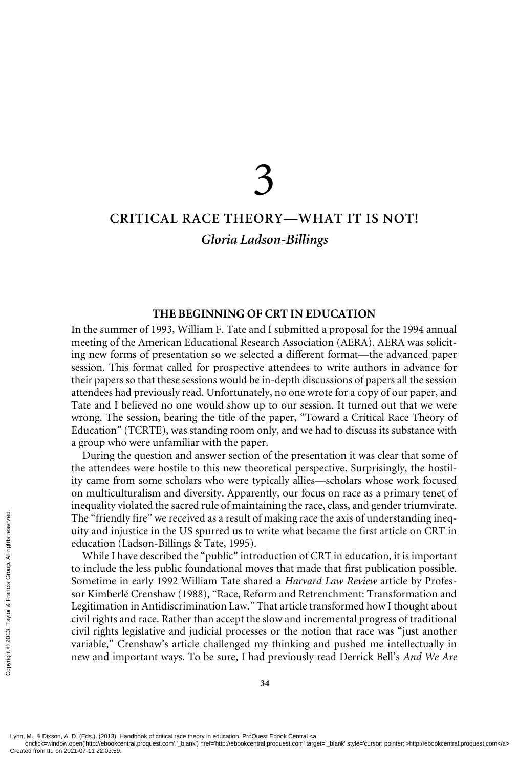# 3

# **CRITICAL RACE THEORY—WHAT IT IS NOT!** *Gloria Ladson-Billings*

#### **THE BEGINNING OF CRT IN EDUCATION**

In the summer of 1993, William F. Tate and I submitted a proposal for the 1994 annual meeting of the American Educational Research Association (AERA). AERA was soliciting new forms of presentation so we selected a different format—the advanced paper session. This format called for prospective attendees to write authors in advance for their papers so that these sessions would be in-depth discussions of papers all the session attendees had previously read. Unfortunately, no one wrote for a copy of our paper, and Tate and I believed no one would show up to our session. It turned out that we were wrong. The session, bearing the title of the paper, "Toward a Critical Race Theory of Education" (TCRTE), was standing room only, and we had to discuss its substance with a group who were unfamiliar with the paper.

During the question and answer section of the presentation it was clear that some of the attendees were hostile to this new theoretical perspective. Surprisingly, the hostility came from some scholars who were typically allies—scholars whose work focused on multiculturalism and diversity. Apparently, our focus on race as a primary tenet of inequality violated the sacred rule of maintaining the race, class, and gender triumvirate. The "friendly fire" we received as a result of making race the axis of understanding inequity and injustice in the US spurred us to write what became the first article on CRT in education (Ladson-Billings & Tate, 1995).

While I have described the "public" introduction of CRT in education, it is important to include the less public foundational moves that made that first publication possible. Sometime in early 1992 William Tate shared a *Harvard Law Review* article by Professor Kimberlé Crenshaw (1988), "Race, Reform and Retrenchment: Transformation and Legitimation in Antidiscrimination Law." That article transformed how I thought about civil rights and race. Rather than accept the slow and incremental progress of traditional civil rights legislative and judicial processes or the notion that race was "just another variable," Crenshaw's article challenged my thinking and pushed me intellectually in new and important ways. To be sure, I had previously read Derrick Bell's *And We Are*  The "friend<br>
uity and inj<br>
education (<br>
While I h<br>
to include t<br>
Sometime is or Kimber<br>
Legitimatio<br>
civil rights<br>
variable," (<br>
rew and in<br>
edic somether of the state of the state of the state of the state of the state<br>

Lynn, M., & Dixson, A. D. (Eds.). (2013). Handbook of critical race theory in education. ProQuest Ebook Central <a<br>onclick=window.open('http://ebookcentral.proquest.com','\_blank') href='http://ebookcentral.proquest.com' t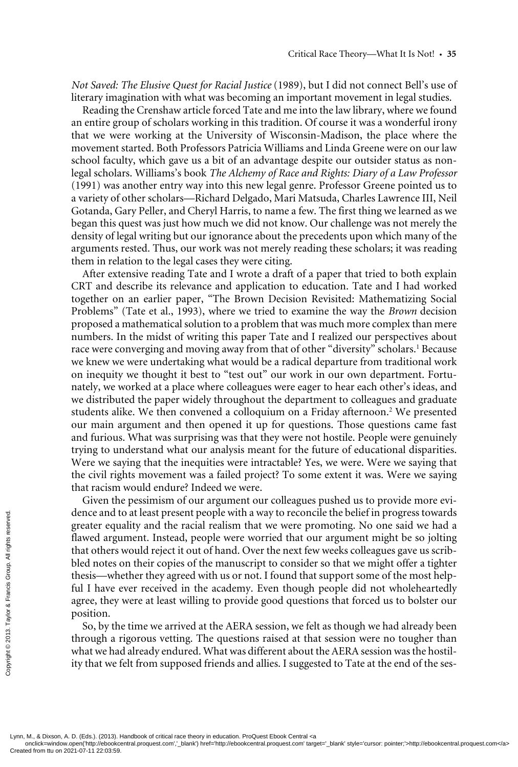*Not Saved: The Elusive Quest for Racial Justice* (1989), but I did not connect Bell's use of literary imagination with what was becoming an important movement in legal studies.

Reading the Crenshaw article forced Tate and me into the law library, where we found an entire group of scholars working in this tradition. Of course it was a wonderful irony that we were working at the University of Wisconsin-Madison, the place where the movement started. Both Professors Patricia Williams and Linda Greene were on our law school faculty, which gave us a bit of an advantage despite our outsider status as nonlegal scholars. Williams's book *The Alchemy of Race and Rights: Diary of a Law Professor* (1991) was another entry way into this new legal genre. Professor Greene pointed us to a variety of other scholars—Richard Delgado, Mari Matsuda, Charles Lawrence III, Neil Gotanda, Gary Peller, and Cheryl Harris, to name a few. The first thing we learned as we began this quest was just how much we did not know. Our challenge was not merely the density of legal writing but our ignorance about the precedents upon which many of the arguments rested. Thus, our work was not merely reading these scholars; it was reading them in relation to the legal cases they were citing.

After extensive reading Tate and I wrote a draft of a paper that tried to both explain CRT and describe its relevance and application to education. Tate and I had worked together on an earlier paper, "The Brown Decision Revisited: Mathematizing Social Problems" (Tate et al., 1993), where we tried to examine the way the *Brown* decision proposed a mathematical solution to a problem that was much more complex than mere numbers. In the midst of writing this paper Tate and I realized our perspectives about race were converging and moving away from that of other "diversity" scholars.<sup>1</sup> Because we knew we were undertaking what would be a radical departure from traditional work on inequity we thought it best to "test out" our work in our own department. Fortunately, we worked at a place where colleagues were eager to hear each other's ideas, and we distributed the paper widely throughout the department to colleagues and graduate students alike. We then convened a colloquium on a Friday afternoon.<sup>2</sup> We presented our main argument and then opened it up for questions. Those questions came fast and furious. What was surprising was that they were not hostile. People were genuinely trying to understand what our analysis meant for the future of educational disparities. Were we saying that the inequities were intractable? Yes, we were. Were we saying that the civil rights movement was a failed project? To some extent it was. Were we saying that racism would endure? Indeed we were.

Given the pessimism of our argument our colleagues pushed us to provide more evidence and to at least present people with a way to reconcile the belief in progress towards greater equality and the racial realism that we were promoting. No one said we had a flawed argument. Instead, people were worried that our argument might be so jolting that others would reject it out of hand. Over the next few weeks colleagues gave us scribbled notes on their copies of the manuscript to consider so that we might offer a tighter thesis—whether they agreed with us or not. I found that support some of the most helpful I have ever received in the academy. Even though people did not wholeheartedly agree, they were at least willing to provide good questions that forced us to bolster our position. Example the state of the state of the state of the state of the state of the signal state of the signal state of the signal state of the signal state of the signal state of the signal state of the signal state of the sign

So, by the time we arrived at the AERA session, we felt as though we had already been through a rigorous vetting. The questions raised at that session were no tougher than what we had already endured. What was different about the AERA session was the hostility that we felt from supposed friends and allies. I suggested to Tate at the end of the ses-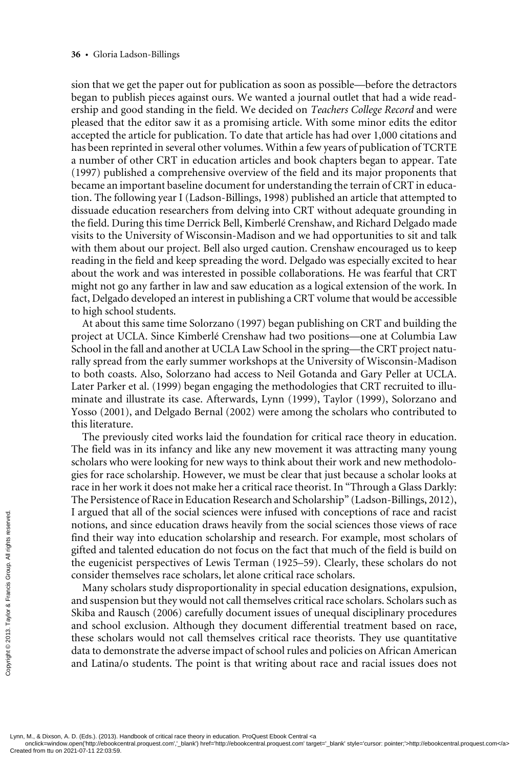sion that we get the paper out for publication as soon as possible—before the detractors began to publish pieces against ours. We wanted a journal outlet that had a wide readership and good standing in the field. We decided on *Teachers College Record* and were pleased that the editor saw it as a promising article. With some minor edits the editor accepted the article for publication. To date that article has had over 1,000 citations and has been reprinted in several other volumes. Within a few years of publication of TCRTE a number of other CRT in education articles and book chapters began to appear. Tate (1997) published a comprehensive overview of the field and its major proponents that became an important baseline document for understanding the terrain of CRT in education. The following year I (Ladson-Billings, 1998) published an article that attempted to dissuade education researchers from delving into CRT without adequate grounding in the field. During this time Derrick Bell, Kimberlé Crenshaw, and Richard Delgado made visits to the University of Wisconsin-Madison and we had opportunities to sit and talk with them about our project. Bell also urged caution. Crenshaw encouraged us to keep reading in the field and keep spreading the word. Delgado was especially excited to hear about the work and was interested in possible collaborations. He was fearful that CRT might not go any farther in law and saw education as a logical extension of the work. In fact, Delgado developed an interest in publishing a CRT volume that would be accessible to high school students.

At about this same time Solorzano (1997) began publishing on CRT and building the project at UCLA. Since Kimberlé Crenshaw had two positions—one at Columbia Law School in the fall and another at UCLA Law School in the spring—the CRT project naturally spread from the early summer workshops at the University of Wisconsin-Madison to both coasts. Also, Solorzano had access to Neil Gotanda and Gary Peller at UCLA. Later Parker et al. (1999) began engaging the methodologies that CRT recruited to illuminate and illustrate its case. Afterwards, Lynn (1999), Taylor (1999), Solorzano and Yosso (2001), and Delgado Bernal (2002) were among the scholars who contributed to this literature.

The previously cited works laid the foundation for critical race theory in education. The field was in its infancy and like any new movement it was attracting many young scholars who were looking for new ways to think about their work and new methodologies for race scholarship. However, we must be clear that just because a scholar looks at race in her work it does not make her a critical race theorist. In "Through a Glass Darkly: The Persistence of Race in Education Research and Scholarship" (Ladson-Billings, 2012), I argued that all of the social sciences were infused with conceptions of race and racist notions, and since education draws heavily from the social sciences those views of race find their way into education scholarship and research. For example, most scholars of gifted and talented education do not focus on the fact that much of the field is build on the eugenicist perspectives of Lewis Terman (1925–59). Clearly, these scholars do not consider themselves race scholars, let alone critical race scholars.

Many scholars study disproportionality in special education designations, expulsion, and suspension but they would not call themselves critical race scholars. Scholars such as Skiba and Rausch (2006) carefully document issues of unequal disciplinary procedures and school exclusion. Although they document differential treatment based on race, these scholars would not call themselves critical race theorists. They use quantitative data to demonstrate the adverse impact of school rules and policies on African American and Latina/o students. The point is that writing about race and racial issues does not Francis and their the experimental field and the experience of the experience of the Many scheme of the Many scheme of the Many scheme of the Many scheme of the Many scheme of the Many scheme of the School chese scholar d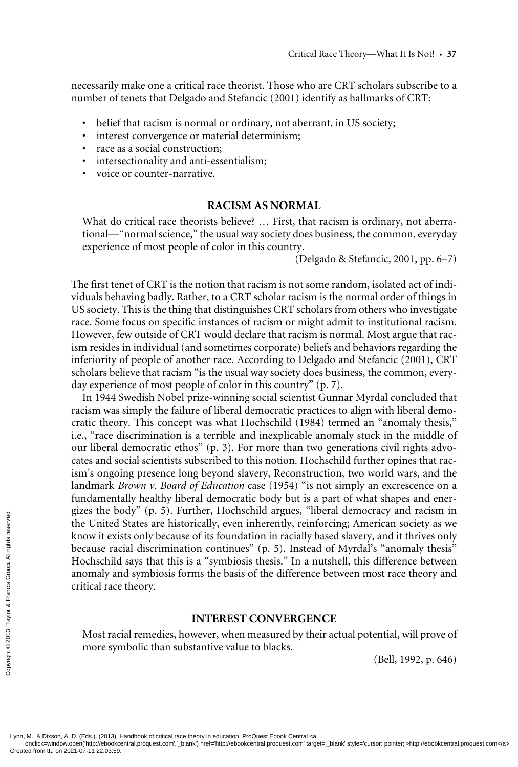necessarily make one a critical race theorist. Those who are CRT scholars subscribe to a number of tenets that Delgado and Stefancic (2001) identify as hallmarks of CRT:

- belief that racism is normal or ordinary, not aberrant, in US society;
- interest convergence or material determinism;
- race as a social construction;
- intersectionality and anti-essentialism;
- voice or counter-narrative.

## **RACISM AS NORMAL**

What do critical race theorists believe? … First, that racism is ordinary, not aberrational—"normal science," the usual way society does business, the common, everyday experience of most people of color in this country.

(Delgado & Stefancic, 2001, pp. 6–7)

The first tenet of CRT is the notion that racism is not some random, isolated act of individuals behaving badly. Rather, to a CRT scholar racism is the normal order of things in US society. This is the thing that distinguishes CRT scholars from others who investigate race. Some focus on specific instances of racism or might admit to institutional racism. However, few outside of CRT would declare that racism is normal. Most argue that racism resides in individual (and sometimes corporate) beliefs and behaviors regarding the inferiority of people of another race. According to Delgado and Stefancic (2001), CRT scholars believe that racism "is the usual way society does business, the common, everyday experience of most people of color in this country" (p. 7).

In 1944 Swedish Nobel prize-winning social scientist Gunnar Myrdal concluded that racism was simply the failure of liberal democratic practices to align with liberal democratic theory. This concept was what Hochschild (1984) termed an "anomaly thesis," i.e., "race discrimination is a terrible and inexplicable anomaly stuck in the middle of our liberal democratic ethos" (p. 3). For more than two generations civil rights advocates and social scientists subscribed to this notion. Hochschild further opines that racism's ongoing presence long beyond slavery, Reconstruction, two world wars, and the landmark *Brown v. Board of Education* case (1954) "is not simply an excrescence on a fundamentally healthy liberal democratic body but is a part of what shapes and energizes the body" (p. 5). Further, Hochschild argues, "liberal democracy and racism in the United States are historically, even inherently, reinforcing; American society as we know it exists only because of its foundation in racially based slavery, and it thrives only because racial discrimination continues" (p. 5). Instead of Myrdal's "anomaly thesis" Hochschild says that this is a "symbiosis thesis." In a nutshell, this difference between anomaly and symbiosis forms the basis of the difference between most race theory and critical race theory. Example  $\frac{1}{2}$ <br>  $\frac{1}{2}$  and  $\frac{1}{2}$  and  $\frac{1}{2}$  and  $\frac{1}{2}$  and  $\frac{1}{2}$  and  $\frac{1}{2}$  and  $\frac{1}{2}$  and  $\frac{1}{2}$  and  $\frac{1}{2}$  and  $\frac{1}{2}$  and  $\frac{1}{2}$  and  $\frac{1}{2}$  and  $\frac{1}{2}$  and  $\frac{1}{2}$  and  $\frac{1}{$ 

### **INTEREST CONVERGENCE**

Most racial remedies, however, when measured by their actual potential, will prove of more symbolic than substantive value to blacks.

(Bell, 1992, p. 646)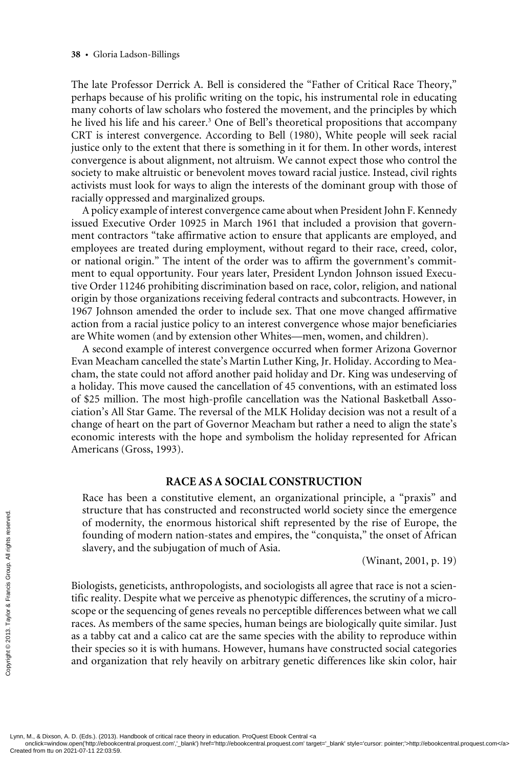The late Professor Derrick A. Bell is considered the "Father of Critical Race Theory," perhaps because of his prolific writing on the topic, his instrumental role in educating many cohorts of law scholars who fostered the movement, and the principles by which he lived his life and his career.<sup>3</sup> One of Bell's theoretical propositions that accompany CRT is interest convergence. According to Bell (1980), White people will seek racial justice only to the extent that there is something in it for them. In other words, interest convergence is about alignment, not altruism. We cannot expect those who control the society to make altruistic or benevolent moves toward racial justice. Instead, civil rights activists must look for ways to align the interests of the dominant group with those of racially oppressed and marginalized groups.

A policy example of interest convergence came about when President John F. Kennedy issued Executive Order 10925 in March 1961 that included a provision that government contractors "take affirmative action to ensure that applicants are employed, and employees are treated during employment, without regard to their race, creed, color, or national origin." The intent of the order was to affirm the government's commitment to equal opportunity. Four years later, President Lyndon Johnson issued Executive Order 11246 prohibiting discrimination based on race, color, religion, and national origin by those organizations receiving federal contracts and subcontracts. However, in 1967 Johnson amended the order to include sex. That one move changed affirmative action from a racial justice policy to an interest convergence whose major beneficiaries are White women (and by extension other Whites—men, women, and children).

A second example of interest convergence occurred when former Arizona Governor Evan Meacham cancelled the state's Martin Luther King, Jr. Holiday. According to Meacham, the state could not afford another paid holiday and Dr. King was undeserving of a holiday. This move caused the cancellation of 45 conventions, with an estimated loss of \$25 million. The most high-profile cancellation was the National Basketball Association's All Star Game. The reversal of the MLK Holiday decision was not a result of a change of heart on the part of Governor Meacham but rather a need to align the state's economic interests with the hope and symbolism the holiday represented for African Americans (Gross, 1993).

## **RACE AS A SOCIAL CONSTRUCTION**

Race has been a constitutive element, an organizational principle, a "praxis" and structure that has constructed and reconstructed world society since the emergence of modernity, the enormous historical shift represented by the rise of Europe, the founding of modern nation-states and empires, the "conquista," the onset of African slavery, and the subjugation of much of Asia.

(Winant, 2001, p. 19)

Biologists, geneticists, anthropologists, and sociologists all agree that race is not a scientific reality. Despite what we perceive as phenotypic differences, the scrutiny of a microscope or the sequencing of genes reveals no perceptible differences between what we call races. As members of the same species, human beings are biologically quite similar. Just as a tabby cat and a calico cat are the same species with the ability to reproduce within their species so it is with humans. However, humans have constructed social categories and organization that rely heavily on arbitrary genetic differences like skin color, hair Exercise the state of moder<br>  $\frac{1}{2}$  and  $\frac{1}{2}$  and  $\frac{1}{2}$ <br>  $\frac{1}{2}$  and  $\frac{1}{2}$ <br>  $\frac{1}{2}$ <br>  $\frac{1}{2}$ <br>  $\frac{1}{2}$ <br>  $\frac{1}{2}$ <br>  $\frac{1}{2}$ <br>  $\frac{1}{2}$ <br>  $\frac{1}{2}$ <br>  $\frac{1}{2}$ <br>  $\frac{1}{2}$ <br>  $\frac{1}{2}$ <br>  $\frac{1}{2}$ <br>  $\frac{1}{2$ 

Lynn, M., & Dixson, A. D. (Eds.). (2013). Handbook of critical race theory in education. ProQuest Ebook Central <a<br>onclick=window.open('http://ebookcentral.proquest.com','\_blank') href='http://ebookcentral.proquest.com' t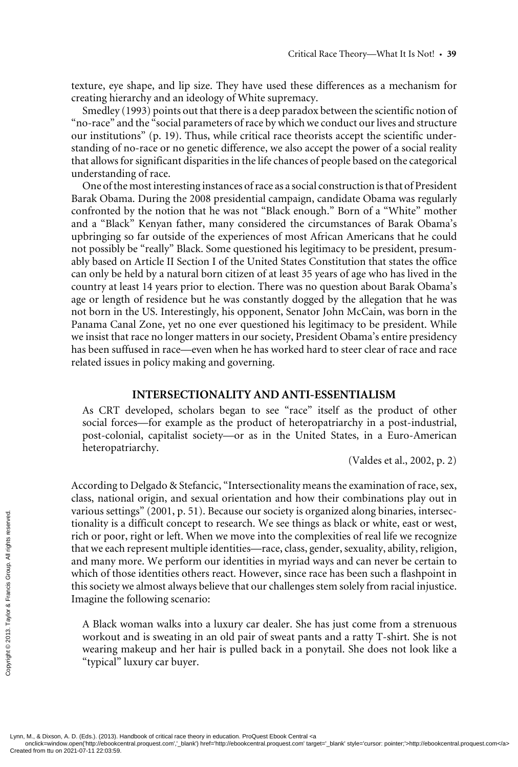texture, eye shape, and lip size. They have used these differences as a mechanism for creating hierarchy and an ideology of White supremacy.

Smedley (1993) points out that there is a deep paradox between the scientific notion of "no-race" and the "social parameters of race by which we conduct our lives and structure our institutions" (p. 19). Thus, while critical race theorists accept the scientific understanding of no-race or no genetic difference, we also accept the power of a social reality that allows for significant disparities in the life chances of people based on the categorical understanding of race.

One of the most interesting instances of race as a social construction is that of President Barak Obama. During the 2008 presidential campaign, candidate Obama was regularly confronted by the notion that he was not "Black enough." Born of a "White" mother and a "Black" Kenyan father, many considered the circumstances of Barak Obama's upbringing so far outside of the experiences of most African Americans that he could not possibly be "really" Black. Some questioned his legitimacy to be president, presumably based on Article II Section I of the United States Constitution that states the office can only be held by a natural born citizen of at least 35 years of age who has lived in the country at least 14 years prior to election. There was no question about Barak Obama's age or length of residence but he was constantly dogged by the allegation that he was not born in the US. Interestingly, his opponent, Senator John McCain, was born in the Panama Canal Zone, yet no one ever questioned his legitimacy to be president. While we insist that race no longer matters in our society, President Obama's entire presidency has been suffused in race—even when he has worked hard to steer clear of race and race related issues in policy making and governing.

# **INTERSECTIONALITY AND ANTI-ESSENTIALISM**

As CRT developed, scholars began to see "race" itself as the product of other social forces—for example as the product of heteropatriarchy in a post-industrial, post-colonial, capitalist society—or as in the United States, in a Euro-American heteropatriarchy.

(Valdes et al., 2002, p. 2)

According to Delgado & Stefancic, "Intersectionality means the examination of race, sex, class, national origin, and sexual orientation and how their combinations play out in various settings" (2001, p. 51). Because our society is organized along binaries, intersectionality is a difficult concept to research. We see things as black or white, east or west, rich or poor, right or left. When we move into the complexities of real life we recognize that we each represent multiple identities—race, class, gender, sexuality, ability, religion, and many more. We perform our identities in myriad ways and can never be certain to which of those identities others react. However, since race has been such a flashpoint in this society we almost always believe that our challenges stem solely from racial injustice. Imagine the following scenario: Various sett<br>
tionality is<br>
incident to pool<br>
that we each<br>
and many r<br>
which of the<br>
this society<br>
Imagine the<br>
society<br>
Imagine the<br>
workout<br>
wearing<br>
society<br>
society<br>
society<br>
typical<br>
enclick=window.open("http://eboo

A Black woman walks into a luxury car dealer. She has just come from a strenuous workout and is sweating in an old pair of sweat pants and a ratty T-shirt. She is not wearing makeup and her hair is pulled back in a ponytail. She does not look like a "typical" luxury car buyer.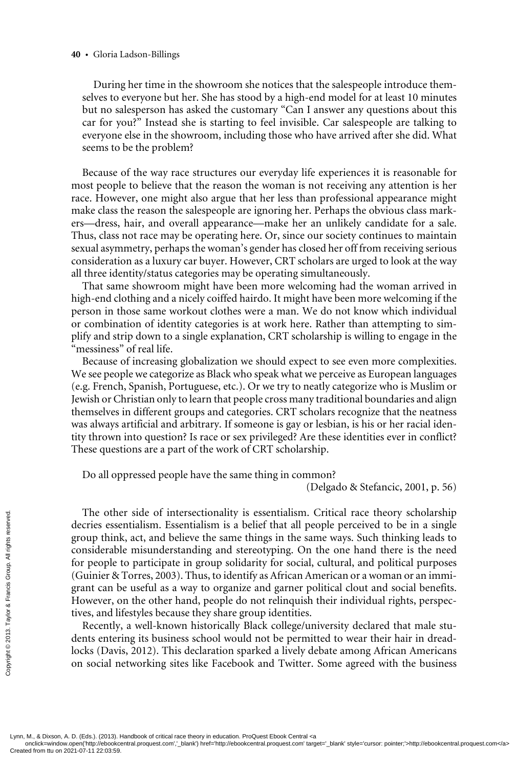During her time in the showroom she notices that the salespeople introduce themselves to everyone but her. She has stood by a high-end model for at least 10 minutes but no salesperson has asked the customary "Can I answer any questions about this car for you?" Instead she is starting to feel invisible. Car salespeople are talking to everyone else in the showroom, including those who have arrived after she did. What seems to be the problem?

Because of the way race structures our everyday life experiences it is reasonable for most people to believe that the reason the woman is not receiving any attention is her race. However, one might also argue that her less than professional appearance might make class the reason the salespeople are ignoring her. Perhaps the obvious class markers—dress, hair, and overall appearance—make her an unlikely candidate for a sale. Thus, class not race may be operating here. Or, since our society continues to maintain sexual asymmetry, perhaps the woman's gender has closed her off from receiving serious consideration as a luxury car buyer. However, CRT scholars are urged to look at the way all three identity/status categories may be operating simultaneously.

That same showroom might have been more welcoming had the woman arrived in high-end clothing and a nicely coiffed hairdo. It might have been more welcoming if the person in those same workout clothes were a man. We do not know which individual or combination of identity categories is at work here. Rather than attempting to simplify and strip down to a single explanation, CRT scholarship is willing to engage in the "messiness" of real life.

Because of increasing globalization we should expect to see even more complexities. We see people we categorize as Black who speak what we perceive as European languages (e.g. French, Spanish, Portuguese, etc.). Or we try to neatly categorize who is Muslim or Jewish or Christian only to learn that people cross many traditional boundaries and align themselves in different groups and categories. CRT scholars recognize that the neatness was always artificial and arbitrary. If someone is gay or lesbian, is his or her racial identity thrown into question? Is race or sex privileged? Are these identities ever in conflict? These questions are a part of the work of CRT scholarship.

Do all oppressed people have the same thing in common?

(Delgado & Stefancic, 2001, p. 56)

The other side of intersectionality is essentialism. Critical race theory scholarship decries essentialism. Essentialism is a belief that all people perceived to be in a single group think, act, and believe the same things in the same ways. Such thinking leads to considerable misunderstanding and stereotyping. On the one hand there is the need for people to participate in group solidarity for social, cultural, and political purposes (Guinier & Torres, 2003). Thus, to identify as African American or a woman or an immigrant can be useful as a way to organize and garner political clout and social benefits. However, on the other hand, people do not relinquish their individual rights, perspectives, and lifestyles because they share group identities. The othe<br>
decries esse<br>
group thinh<br>
considerabl<br>
for people t<br>
(Guinier &<br>
grant can b<br>
However, o<br>
tives, and li<br>
Recently,<br>
dents enter<br>
dents enter<br>
locks (Davi<br>
on social n<br>
on social n<br>
enclick=window.open("http://e

Recently, a well-known historically Black college/university declared that male students entering its business school would not be permitted to wear their hair in dreadlocks (Davis, 2012). This declaration sparked a lively debate among African Americans on social networking sites like Facebook and Twitter. Some agreed with the business

Lynn, M., & Dixson, A. D. (Eds.). (2013). Handbook of critical race theory in education. ProQuest Ebook Central <a

onclick=window.open('http://ebookcentral.proquest.com','\_blank') href='http://ebookcentral.proquest.com' target='\_blank' style='cursor: pointer;'>http://ebookcentral.proquest.com</a>Created from ttu on 2021-07-11 22:03:59.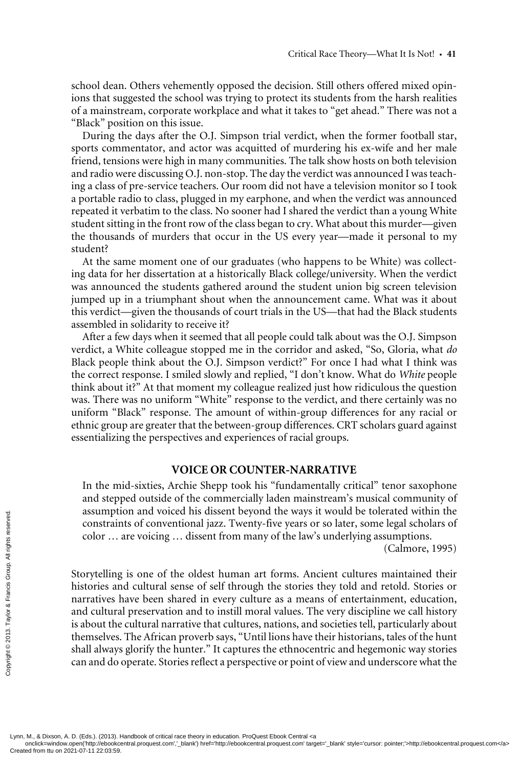school dean. Others vehemently opposed the decision. Still others offered mixed opinions that suggested the school was trying to protect its students from the harsh realities of a mainstream, corporate workplace and what it takes to "get ahead." There was not a "Black" position on this issue.

During the days after the O.J. Simpson trial verdict, when the former football star, sports commentator, and actor was acquitted of murdering his ex-wife and her male friend, tensions were high in many communities. The talk show hosts on both television and radio were discussing O.J. non-stop. The day the verdict was announced I was teaching a class of pre-service teachers. Our room did not have a television monitor so I took a portable radio to class, plugged in my earphone, and when the verdict was announced repeated it verbatim to the class. No sooner had I shared the verdict than a young White student sitting in the front row of the class began to cry. What about this murder—given the thousands of murders that occur in the US every year—made it personal to my student?

At the same moment one of our graduates (who happens to be White) was collecting data for her dissertation at a historically Black college/university. When the verdict was announced the students gathered around the student union big screen television jumped up in a triumphant shout when the announcement came. What was it about this verdict—given the thousands of court trials in the US—that had the Black students assembled in solidarity to receive it?

After a few days when it seemed that all people could talk about was the O.J. Simpson verdict, a White colleague stopped me in the corridor and asked, "So, Gloria, what *do* Black people think about the O.J. Simpson verdict?" For once I had what I think was the correct response. I smiled slowly and replied, "I don't know. What do *White* people think about it?" At that moment my colleague realized just how ridiculous the question was. There was no uniform "White" response to the verdict, and there certainly was no uniform "Black" response. The amount of within-group differences for any racial or ethnic group are greater that the between-group differences. CRT scholars guard against essentializing the perspectives and experiences of racial groups.

### **VOICE OR COUNTER-NARRATIVE**

In the mid-sixties, Archie Shepp took his "fundamentally critical" tenor saxophone and stepped outside of the commercially laden mainstream's musical community of assumption and voiced his dissent beyond the ways it would be tolerated within the constraints of conventional jazz. Twenty-five years or so later, some legal scholars of color … are voicing … dissent from many of the law's underlying assumptions.

(Calmore, 1995)

Storytelling is one of the oldest human art forms. Ancient cultures maintained their histories and cultural sense of self through the stories they told and retold. Stories or narratives have been shared in every culture as a means of entertainment, education, and cultural preservation and to instill moral values. The very discipline we call history is about the cultural narrative that cultures, nations, and societies tell, particularly about themselves. The African proverb says, "Until lions have their historians, tales of the hunt shall always glorify the hunter." It captures the ethnocentric and hegemonic way stories can and do operate. Stories reflect a perspective or point of view and underscore what the Example the set of the set of the set of the set of the set of the set of the set of the set of the set of the set of the set of the set of the set of the set of the set of the set of the set of the set of the set of the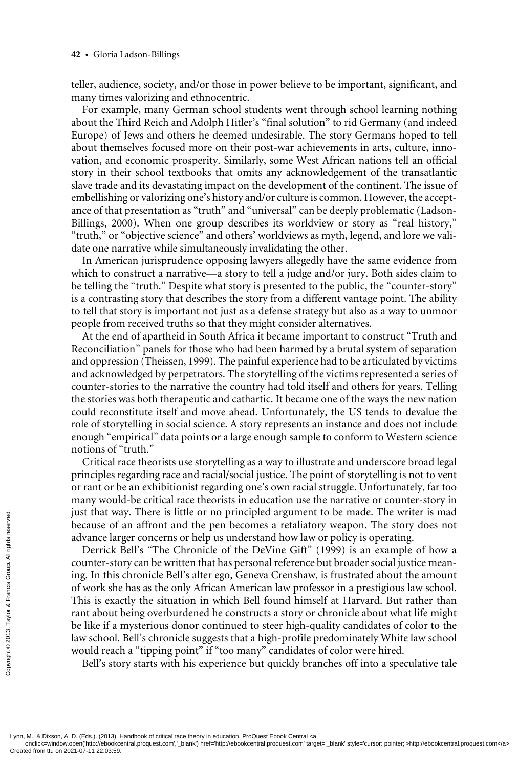teller, audience, society, and/or those in power believe to be important, significant, and many times valorizing and ethnocentric.

For example, many German school students went through school learning nothing about the Third Reich and Adolph Hitler's "final solution" to rid Germany (and indeed Europe) of Jews and others he deemed undesirable. The story Germans hoped to tell about themselves focused more on their post-war achievements in arts, culture, innovation, and economic prosperity. Similarly, some West African nations tell an official story in their school textbooks that omits any acknowledgement of the transatlantic slave trade and its devastating impact on the development of the continent. The issue of embellishing or valorizing one's history and/or culture is common. However, the acceptance of that presentation as "truth" and "universal" can be deeply problematic (Ladson-Billings, 2000). When one group describes its worldview or story as "real history," "truth," or "objective science" and others' worldviews as myth, legend, and lore we validate one narrative while simultaneously invalidating the other.

In American jurisprudence opposing lawyers allegedly have the same evidence from which to construct a narrative—a story to tell a judge and/or jury. Both sides claim to be telling the "truth." Despite what story is presented to the public, the "counter-story" is a contrasting story that describes the story from a different vantage point. The ability to tell that story is important not just as a defense strategy but also as a way to unmoor people from received truths so that they might consider alternatives.

At the end of apartheid in South Africa it became important to construct "Truth and Reconciliation" panels for those who had been harmed by a brutal system of separation and oppression (Theissen, 1999). The painful experience had to be articulated by victims and acknowledged by perpetrators. The storytelling of the victims represented a series of counter-stories to the narrative the country had told itself and others for years. Telling the stories was both therapeutic and cathartic. It became one of the ways the new nation could reconstitute itself and move ahead. Unfortunately, the US tends to devalue the role of storytelling in social science. A story represents an instance and does not include enough "empirical" data points or a large enough sample to conform to Western science notions of "truth."

Critical race theorists use storytelling as a way to illustrate and underscore broad legal principles regarding race and racial/social justice. The point of storytelling is not to vent or rant or be an exhibitionist regarding one's own racial struggle. Unfortunately, far too many would-be critical race theorists in education use the narrative or counter-story in just that way. There is little or no principled argument to be made. The writer is mad because of an affront and the pen becomes a retaliatory weapon. The story does not advance larger concerns or help us understand how law or policy is operating.

Derrick Bell's "The Chronicle of the DeVine Gift" (1999) is an example of how a counter-story can be written that has personal reference but broader social justice meaning. In this chronicle Bell's alter ego, Geneva Crenshaw, is frustrated about the amount of work she has as the only African American law professor in a prestigious law school. This is exactly the situation in which Bell found himself at Harvard. But rather than rant about being overburdened he constructs a story or chronicle about what life might be like if a mysterious donor continued to steer high-quality candidates of color to the law school. Bell's chronicle suggests that a high-profile predominately White law school would reach a "tipping point" if "too many" candidates of color were hired. Provides and the property of the cause of advance lar<br>
Derrick I<br>
Counter-sto<br>
dig. In this<br>
of work she<br>
This is exacted for the This is exacted from thu on 2021-07-11 22:03:59.<br>
Lynn, M., & Dixson, A. D. (Eds.). (2013).

Bell's story starts with his experience but quickly branches off into a speculative tale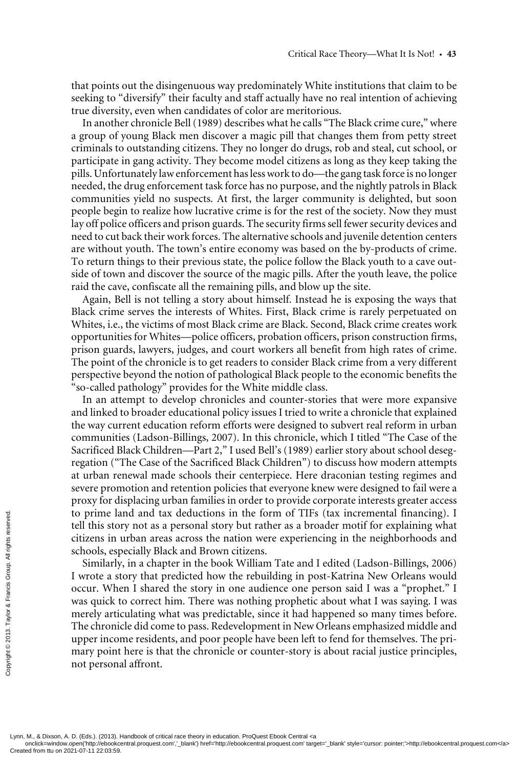that points out the disingenuous way predominately White institutions that claim to be seeking to "diversify" their faculty and staff actually have no real intention of achieving true diversity, even when candidates of color are meritorious.

In another chronicle Bell (1989) describes what he calls "The Black crime cure," where a group of young Black men discover a magic pill that changes them from petty street criminals to outstanding citizens. They no longer do drugs, rob and steal, cut school, or participate in gang activity. They become model citizens as long as they keep taking the pills. Unfortunately law enforcement has less work to do—the gang task force is no longer needed, the drug enforcement task force has no purpose, and the nightly patrols in Black communities yield no suspects. At first, the larger community is delighted, but soon people begin to realize how lucrative crime is for the rest of the society. Now they must lay off police officers and prison guards. The security firms sell fewer security devices and need to cut back their work forces. The alternative schools and juvenile detention centers are without youth. The town's entire economy was based on the by-products of crime. To return things to their previous state, the police follow the Black youth to a cave outside of town and discover the source of the magic pills. After the youth leave, the police raid the cave, confiscate all the remaining pills, and blow up the site.

Again, Bell is not telling a story about himself. Instead he is exposing the ways that Black crime serves the interests of Whites. First, Black crime is rarely perpetuated on Whites, i.e., the victims of most Black crime are Black. Second, Black crime creates work opportunities for Whites—police officers, probation officers, prison construction firms, prison guards, lawyers, judges, and court workers all benefit from high rates of crime. The point of the chronicle is to get readers to consider Black crime from a very different perspective beyond the notion of pathological Black people to the economic benefits the "so-called pathology" provides for the White middle class.

In an attempt to develop chronicles and counter-stories that were more expansive and linked to broader educational policy issues I tried to write a chronicle that explained the way current education reform efforts were designed to subvert real reform in urban communities (Ladson-Billings, 2007). In this chronicle, which I titled "The Case of the Sacrificed Black Children—Part 2," I used Bell's (1989) earlier story about school desegregation ("The Case of the Sacrificed Black Children") to discuss how modern attempts at urban renewal made schools their centerpiece. Here draconian testing regimes and severe promotion and retention policies that everyone knew were designed to fail were a proxy for displacing urban families in order to provide corporate interests greater access to prime land and tax deductions in the form of TIFs (tax incremental financing). I tell this story not as a personal story but rather as a broader motif for explaining what citizens in urban areas across the nation were experiencing in the neighborhoods and schools, especially Black and Brown citizens.

Similarly, in a chapter in the book William Tate and I edited (Ladson-Billings, 2006) I wrote a story that predicted how the rebuilding in post-Katrina New Orleans would occur. When I shared the story in one audience one person said I was a "prophet." I was quick to correct him. There was nothing prophetic about what I was saying. I was merely articulating what was predictable, since it had happened so many times before. The chronicle did come to pass. Redevelopment in New Orleans emphasized middle and upper income residents, and poor people have been left to fend for themselves. The primary point here is that the chronicle or counter-story is about racial justice principles, not personal affront. Francis Created from ttu on 2021-07-11 22:03:59.<br>Created from ttu on 2021-07-11 22:03:59.<br>Created from ttu on 2021-07-11-02:03:59.

Lynn, M., & Dixson, A. D. (Eds.). (2013). Handbook of critical race theory in education. ProQuest Ebook Central <a

onclick=window.open('http://ebookcentral.proquest.com','\_blank') href='http://ebookcentral.proquest.com' target='\_blank' style='cursor: pointer;'>http://ebookcentral.proquest.com</a>Created from ttu on 2021-07-11 22:03:59.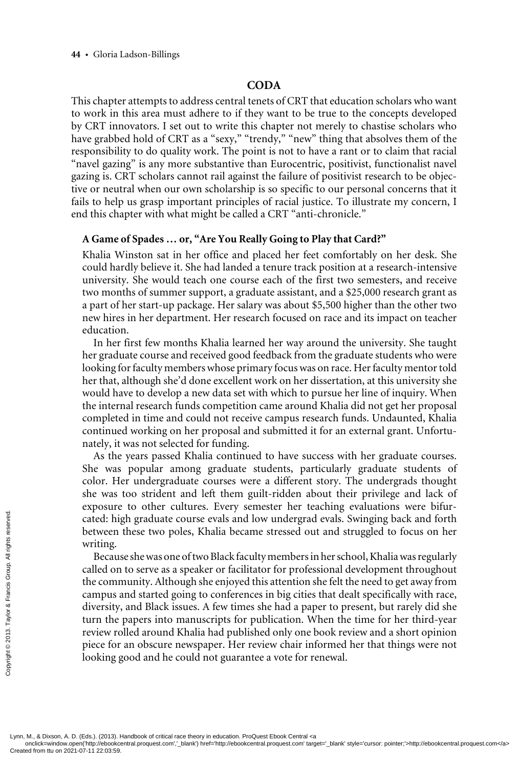#### **44** • Gloria Ladson-Billings

#### **CODA**

This chapter attempts to address central tenets of CRT that education scholars who want to work in this area must adhere to if they want to be true to the concepts developed by CRT innovators. I set out to write this chapter not merely to chastise scholars who have grabbed hold of CRT as a "sexy," "trendy," "new" thing that absolves them of the responsibility to do quality work. The point is not to have a rant or to claim that racial "navel gazing" is any more substantive than Eurocentric, positivist, functionalist navel gazing is. CRT scholars cannot rail against the failure of positivist research to be objective or neutral when our own scholarship is so specific to our personal concerns that it fails to help us grasp important principles of racial justice. To illustrate my concern, I end this chapter with what might be called a CRT "anti-chronicle."

#### **A Game of Spades … or, "Are You Really Going to Play that Card?"**

Khalia Winston sat in her office and placed her feet comfortably on her desk. She could hardly believe it. She had landed a tenure track position at a research-intensive university. She would teach one course each of the first two semesters, and receive two months of summer support, a graduate assistant, and a \$25,000 research grant as a part of her start-up package. Her salary was about \$5,500 higher than the other two new hires in her department. Her research focused on race and its impact on teacher education.

 In her first few months Khalia learned her way around the university. She taught her graduate course and received good feedback from the graduate students who were looking for faculty members whose primary focus was on race. Her faculty mentor told her that, although she'd done excellent work on her dissertation, at this university she would have to develop a new data set with which to pursue her line of inquiry. When the internal research funds competition came around Khalia did not get her proposal completed in time and could not receive campus research funds. Undaunted, Khalia continued working on her proposal and submitted it for an external grant. Unfortunately, it was not selected for funding.

 As the years passed Khalia continued to have success with her graduate courses. She was popular among graduate students, particularly graduate students of color. Her undergraduate courses were a different story. The undergrads thought she was too strident and left them guilt-ridden about their privilege and lack of exposure to other cultures. Every semester her teaching evaluations were bifurcated: high graduate course evals and low undergrad evals. Swinging back and forth between these two poles, Khalia became stressed out and struggled to focus on her writing.

 Because she was one of two Black faculty members in her school, Khalia was regularly called on to serve as a speaker or facilitator for professional development throughout the community. Although she enjoyed this attention she felt the need to get away from campus and started going to conferences in big cities that dealt specifically with race, diversity, and Black issues. A few times she had a paper to present, but rarely did she turn the papers into manuscripts for publication. When the time for her third-year review rolled around Khalia had published only one book review and a short opinion piece for an obscure newspaper. Her review chair informed her that things were not looking good and he could not guarantee a vote for renewal. Exercise the second from the control of  $\frac{20}{3}$  and  $\frac{20}{3}$  and  $\frac{20}{3}$  and  $\frac{20}{3}$  and  $\frac{20}{3}$  and  $\frac{20}{3}$  and  $\frac{20}{3}$  and  $\frac{20}{3}$  and  $\frac{20}{3}$  and  $\frac{20}{3}$  contribute  $\frac{20}{3}$  contribute  $\$ 

Lynn, M., & Dixson, A. D. (Eds.). (2013). Handbook of critical race theory in education. ProQuest Ebook Central <a

onclick=window.open('http://ebookcentral.proquest.com','\_blank') href='http://ebookcentral.proquest.com' target='\_blank' style='cursor: pointer;'>http://ebookcentral.proquest.com</a>Created from ttu on 2021-07-11 22:03:59.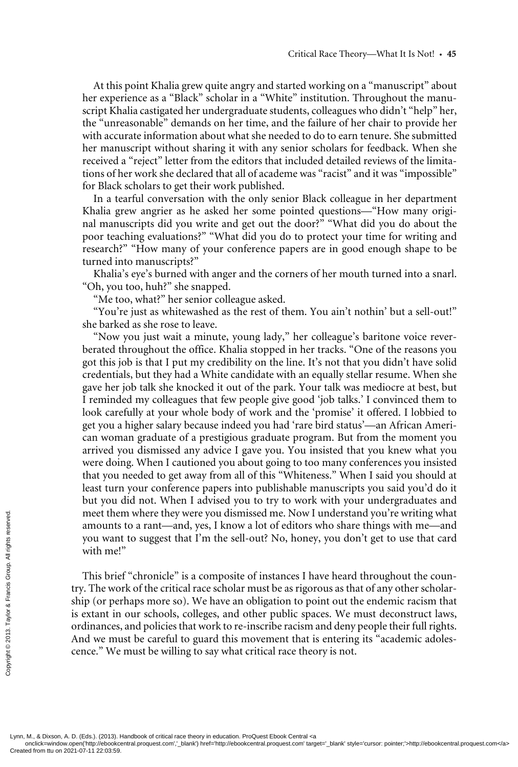At this point Khalia grew quite angry and started working on a "manuscript" about her experience as a "Black" scholar in a "White" institution. Throughout the manuscript Khalia castigated her undergraduate students, colleagues who didn't "help" her, the "unreasonable" demands on her time, and the failure of her chair to provide her with accurate information about what she needed to do to earn tenure. She submitted her manuscript without sharing it with any senior scholars for feedback. When she received a "reject" letter from the editors that included detailed reviews of the limitations of her work she declared that all of academe was "racist" and it was "impossible" for Black scholars to get their work published.

 In a tearful conversation with the only senior Black colleague in her department Khalia grew angrier as he asked her some pointed questions—"How many original manuscripts did you write and get out the door?" "What did you do about the poor teaching evaluations?" "What did you do to protect your time for writing and research?" "How many of your conference papers are in good enough shape to be turned into manuscripts?"

 Khalia's eye's burned with anger and the corners of her mouth turned into a snarl. "Oh, you too, huh?" she snapped.

"Me too, what?" her senior colleague asked.

 "You're just as whitewashed as the rest of them. You ain't nothin' but a sell-out!" she barked as she rose to leave.

 "Now you just wait a minute, young lady," her colleague's baritone voice reverberated throughout the office. Khalia stopped in her tracks. "One of the reasons you got this job is that I put my credibility on the line. It's not that you didn't have solid credentials, but they had a White candidate with an equally stellar resume. When she gave her job talk she knocked it out of the park. Your talk was mediocre at best, but I reminded my colleagues that few people give good 'job talks.' I convinced them to look carefully at your whole body of work and the 'promise' it offered. I lobbied to get you a higher salary because indeed you had 'rare bird status'—an African American woman graduate of a prestigious graduate program. But from the moment you arrived you dismissed any advice I gave you. You insisted that you knew what you were doing. When I cautioned you about going to too many conferences you insisted that you needed to get away from all of this "Whiteness." When I said you should at least turn your conference papers into publishable manuscripts you said you'd do it but you did not. When I advised you to try to work with your undergraduates and meet them where they were you dismissed me. Now I understand you're writing what amounts to a rant—and, yes, I know a lot of editors who share things with me—and you want to suggest that I'm the sell-out? No, honey, you don't get to use that card with me!"

This brief "chronicle" is a composite of instances I have heard throughout the country. The work of the critical race scholar must be as rigorous as that of any other scholarship (or perhaps more so). We have an obligation to point out the endemic racism that is extant in our schools, colleges, and other public spaces. We must deconstruct laws, ordinances, and policies that work to re-inscribe racism and deny people their full rights. And we must be careful to guard this movement that is entering its "academic adolescence." We must be willing to say what critical race theory is not. This bries amounts<br>  $\frac{1}{2}$  amounts<br>
you want with me!<br>
you want with me!<br>  $\frac{1}{2}$  with me!<br>
This brie<br>
try. The wo<br>
ship (or per<br>
is extant in<br>
ordinances,<br>
And we mu<br>
cence." We<br>  $\frac{1}{2}$ <br>  $\frac{1}{2}$ <br>  $\frac{1}{2}$ <br>  $\frac$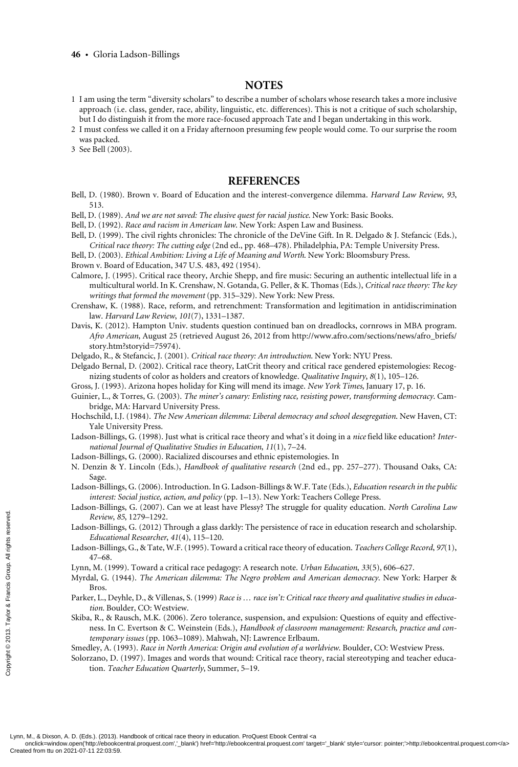<span id="page-12-0"></span>**46** • Gloria Ladson-Billings

#### **NOTES**

- 1 I am using the term "diversity scholars" to describe a number of scholars whose research takes a more inclusive approach (i.e. class, gender, race, ability, linguistic, etc. differences). This is not a critique of such scholarship, but I do distinguish it from the more race-focused approach Tate and I began undertaking in this work.
- 2 I must confess we called it on a Friday afternoon presuming few people would come. To our surprise the room was packed.
- 3 See Bell (2003).

#### **REFERENCES**

- Bell, D. (1980). Brown v. Board of Education and the interest-convergence dilemma. *Harvard Law Review*, *93*, 513.
- Bell, D. (1989). *And we are not saved: The elusive quest for racial justice*. New York: Basic Books.
- Bell, D. (1992). *Race and racism in American law*. New York: Aspen Law and Business.
- Bell, D. (1999). The civil rights chronicles: The chronicle of the DeVine Gift. In R. Delgado & J. Stefancic (Eds.), *Critical race theory: The cutting edge* (2nd ed., pp. 468–478). Philadelphia, PA: Temple University Press.
- Bell, D. (2003). *Ethical Ambition: Living a Life of Meaning and Worth*. New York: Bloomsbury Press.
- Brown v. Board of Education, 347 U.S. 483, 492 (1954).
- Calmore, J. (1995). Critical race theory, Archie Shepp, and fire music: Securing an authentic intellectual life in a multicultural world. In K. Crenshaw, N. Gotanda, G. Peller, & K. Thomas (Eds.), *Critical race theory: The key writings that formed the movement* (pp. 315–329). New York: New Press.
- Crenshaw, K. (1988). Race, reform, and retrenchment: Transformation and legitimation in antidiscrimination law. *Harvard Law Review*, *101*(7), 1331–1387.
- Davis, K. (2012). Hampton Univ. students question continued ban on dreadlocks, cornrows in MBA program. *Afro American*, August 25 (retrieved August 26, 2012 from [http://www.afro.com/sections/news/afro\\_briefs/](http://www.afro.com/sections/news/afro_briefs/story.htm?storyid=75974) [story.htm?storyid=75974\)](http://www.afro.com/sections/news/afro_briefs/story.htm?storyid=75974).
- Delgado, R., & Stefancic, J. (2001). *Critical race theory: An introduction*. New York: NYU Press.
- Delgado Bernal, D. (2002). Critical race theory, LatCrit theory and critical race gendered epistemologies: Recognizing students of color as holders and creators of knowledge. *Qualitative Inquiry*, *8*(1), 105–126.
- Gross, J. (1993). Arizona hopes holiday for King will mend its image. *New York Times*, January 17, p. 16.
- Guinier, L., & Torres, G. (2003). *The miner's canary: Enlisting race, resisting power, transforming democracy*. Cambridge, MA: Harvard University Press.
- Hochschild, I.J. (1984). *The New American dilemma: Liberal democracy and school desegregation*. New Haven, CT: Yale University Press.
- Ladson-Billings, G. (1998). Just what is critical race theory and what's it doing in a *nice* field like education? *International Journal of Qualitative Studies in Education*, *11*(1), 7–24.
- Ladson-Billings, G. (2000). Racialized discourses and ethnic epistemologies. In
- N. Denzin & Y. Lincoln (Eds.), *Handbook of qualitative research* (2nd ed., pp. 257–277). Thousand Oaks, CA: Sage.
- Ladson-Billings, G. (2006). Introduction. In G. Ladson-Billings & W.F. Tate (Eds.), *Education research in the public interest: Social justice, action, and policy* (pp. 1–13). New York: Teachers College Press.
- Ladson-Billings, G. (2007). Can we at least have Plessy? The struggle for quality education. *North Carolina Law Review*, *85*, 1279–1292.
- Ladson-Billings, G. (2012) Through a glass darkly: The persistence of race in education research and scholarship. *Educational Researcher*, *41*(4), 115–120.
- Ladson-Billings, G., & Tate, W.F. (1995). Toward a critical race theory of education. *Teachers College Record*, *97*(1), 47–68.
- Lynn, M. (1999). Toward a critical race pedagogy: A research note. *Urban Education*, *33*(5), 606–627.
- Myrdal, G. (1944). *The American dilemma: The Negro problem and American democracy*. New York: Harper & Bros.
- Parker, L., Deyhle, D., & Villenas, S. (1999) *Race is … race isn't: Critical race theory and qualitative studies in education*. Boulder, CO: Westview.
- Skiba, R., & Rausch, M.K. (2006). Zero tolerance, suspension, and expulsion: Questions of equity and effectiveness. In C. Evertson & C. Weinstein (Eds.), *Handbook of classroom management: Research, practice and contemporary issues* (pp. 1063–1089). Mahwah, NJ: Lawrence Erlbaum.
- Smedley, A. (1993). *Race in North America: Origin and evolution of a worldview*. Boulder, CO: Westview Press.
- Solorzano, D. (1997). Images and words that wound: Critical race theory, racial stereotyping and teacher education. *Teacher Education Quarterly*, Summer, 5–19.

onclick=window.open('http://ebookcentral.proquest.com','\_blank') href='http://ebookcentral.proquest.com' target='\_blank' style='cursor: pointer;'>http://ebookcentral.proquest.com</a>Created from ttu on 2021-07-11 22:03:59. The second from the second from the on 2021-07-11 22:03:59.<br>
Created from the on 2021-07-11 22:03:59.<br>
Created from the on 2021-07-11 22:03:59.<br>
Created from the on 2021-07-11 22:03:59.<br>
Created from the on 2021-07-11 22: